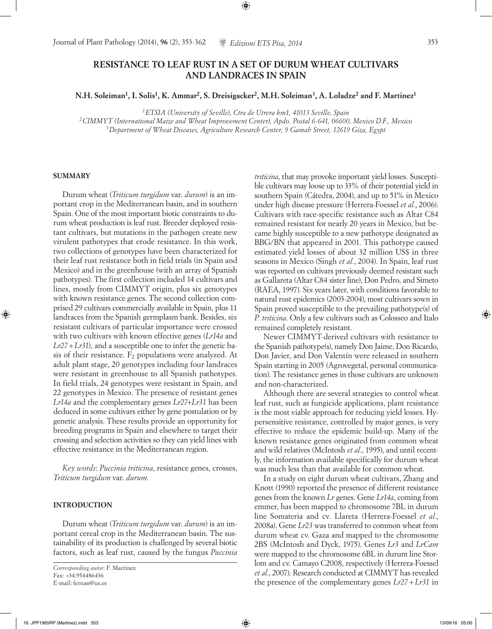# **RESISTANCE TO LEAF RUST IN A SET OF DURUM WHEAT CULTIVARS AND LANDRACES IN SPAIN**

⊕

**N.H. Soleiman1, I. Solis1, K. Ammar2, S. Dreisigacker2, M.H. Soleiman3, A. Loladze2 and F. Martinez1**

*1ETSIA (University of Seville), Ctra de Utrera km1, 41013 Seville, Spain*

*2CIMMYT (International Maize and Wheat Improvement Center), Apdo. Postal 6-641, 06600, Mexico D.F., Mexico 3Department of Wheat Diseases, Agriculture Research Center, 9 Gamah Street, 12619 Giza, Egypt*

### **SUMMARY**

◈

Durum wheat (*Triticum turgidum* var. *durum*) is an important crop in the Mediterranean basin, and in southern Spain. One of the most important biotic constraints to durum wheat production is leaf rust. Breeder deployed resistant cultivars, but mutations in the pathogen create new virulent pathotypes that erode resistance. In this work, two collections of genotypes have been characterized for their leaf rust resistance both in field trials (in Spain and Mexico) and in the greenhouse (with an array of Spanish pathotypes). The first collection included 14 cultivars and lines, mostly from CIMMYT origin, plus six genotypes with known resistance genes. The second collection comprised 29 cultivars commercially available in Spain, plus 11 landraces from the Spanish germplasm bank. Besides, six resistant cultivars of particular importance were crossed with two cultivars with known effective genes (*Lr14a* and *Lr27+Lr31*), and a susceptible one to infer the genetic basis of their resistance.  $F_2$  populations were analyzed. At adult plant stage, 20 genotypes including four landraces were resistant in greenhouse to all Spanish pathotypes. In field trials, 24 genotypes were resistant in Spain, and 22 genotypes in Mexico. The presence of resistant genes *Lr14a* and the complementary genes *Lr27*+*Lr31* has been deduced in some cultivars either by gene postulation or by genetic analysis. These results provide an opportunity for breeding programs in Spain and elsewhere to target their crossing and selection activities so they can yield lines with effective resistance in the Mediterranean region.

*Key words*: *Puccinia triticina*, resistance genes, crosses, *Triticum turgidum* var. *durum*.

# **INTRODUCTION**

Durum wheat (*Triticum turgidum* var. *durum*) is an important cereal crop in the Mediterranean basin. The sustainability of its production is challenged by several biotic factors, such as leaf rust, caused by the fungus *Puccinia* 

*Corresponding autor:* F. Martinez Fax: +34.954486436 E-mail: fernan@us.es

*triticina*, that may provoke important yield losses. Susceptible cultivars may loose up to 33% of their potential yield in southern Spain (Cátedra, 2004), and up to 51% in Mexico under high disease pressure (Herrera-Foessel *et al.*, 2006). Cultivars with race-specific resistance such as Altar C84 remained resistant for nearly 20 years in Mexico, but became highly susceptible to a new pathotype designated as BBG/BN that appeared in 2001. This pathotype caused estimated yield losses of about 32 million US\$ in three seasons in Mexico (Singh *et al.*, 2004). In Spain, leaf rust was reported on cultivars previously deemed resistant such as Gallareta (Altar C84 sister line), Don Pedro, and Simeto (RAEA, 1997). Six years later, with conditions favorable to natural rust epidemics (2003-2004), most cultivars sown in Spain proved susceptible to the prevailing pathotype(s) of *P. triticina*. Only a few cultivars such as Colosseo and Italo remained completely resistant.

Newer CIMMYT-derived cultivars with resistance to the Spanish pathotype(s), namely Don Jaime, Don Ricardo, Don Javier, and Don Valentín were released in southern Spain starting in 2005 (Agrovegetal, personal communication). The resistance genes in those cultivars are unknown and non-characterized.

Although there are several strategies to control wheat leaf rust, such as fungicide applications, plant resistance is the most viable approach for reducing yield losses. Hypersensitive resistance, controlled by major genes, is very effective to reduce the epidemic build-up. Many of the known resistance genes originated from common wheat and wild relatives (McIntosh *et al.*, 1995), and until recently, the information available specifically for durum wheat was much less than that available for common wheat.

In a study on eight durum wheat cultivars, Zhang and Knott (1990) reported the presence of different resistance genes from the known *Lr* genes. Gene *Lr14a*, coming from emmer, has been mapped to chromosome 7BL in durum line Somateria and cv. Llareta (Herrera-Foessel *et al.*, 2008a). Gene *Lr23* was transferred to common wheat from durum wheat cv. Gaza and mapped to the chromosome 2BS (McIntosh and Dyck, 1975). Genes *Lr3* and *LrCam*  were mapped to the chromosome 6BL in durum line Storlom and cv. Camayo C2008, respectively (Herrera-Foessel *et al.*, 2007). Research conducted at CIMMYT has revealed the presence of the complementary genes *Lr27+Lr31* in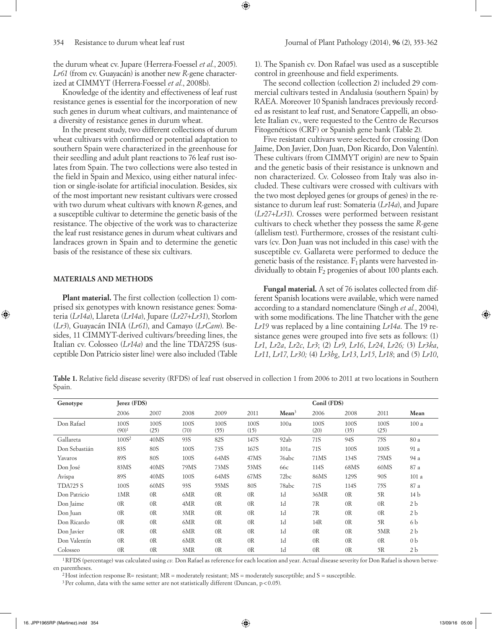the durum wheat cv. Jupare (Herrera-Foessel *et al.*, 2005). *Lr61* (from cv. Guayacán) is another new *R*-gene characterized at CIMMYT (Herrera-Foessel *et al.*, 2008b).

Knowledge of the identity and effectiveness of leaf rust resistance genes is essential for the incorporation of new such genes in durum wheat cultivars, and maintenance of a diversity of resistance genes in durum wheat.

In the present study, two different collections of durum wheat cultivars with confirmed or potential adaptation to southern Spain were characterized in the greenhouse for their seedling and adult plant reactions to 76 leaf rust isolates from Spain. The two collections were also tested in the field in Spain and Mexico, using either natural infection or single-isolate for artificial inoculation. Besides, six of the most important new resistant cultivars were crossed with two durum wheat cultivars with known *R*-genes, and a susceptible cultivar to determine the genetic basis of the resistance. The objective of the work was to characterize the leaf rust resistance genes in durum wheat cultivars and landraces grown in Spain and to determine the genetic basis of the resistance of these six cultivars.

# **MATERIALS AND METHODS**

⊕

**Plant material.** The first collection (collection 1) comprised six genotypes with known resistance genes: Somateria (*Lr14a*), Llareta (*Lr14a*), Jupare (*Lr27+Lr31*), Storlom (*Lr3*), Guayacán INIA (*Lr61*), and Camayo (*LrCam*). Besides, 11 CIMMYT-derived cultivars/breeding lines, the Italian cv. Colosseo (*Lr14a*) and the line TDA725S (susceptible Don Patricio sister line) were also included (Table 1). The Spanish cv. Don Rafael was used as a susceptible control in greenhouse and field experiments.

The second collection (collection 2) included 29 commercial cultivars tested in Andalusia (southern Spain) by RAEA. Moreover 10 Spanish landraces previously recorded as resistant to leaf rust, and Senatore Cappelli, an obsolete Italian cv., were requested to the Centro de Recursos Fitogenéticos (CRF) or Spanish gene bank (Table 2).

Five resistant cultivars were selected for crossing (Don Jaime, Don Javier, Don Juan, Don Ricardo, Don Valentín). These cultivars (from CIMMYT origin) are new to Spain and the genetic basis of their resistance is unknown and non characterized. Cv. Colosseo from Italy was also included. These cultivars were crossed with cultivars with the two most deployed genes (or groups of genes) in the resistance to durum leaf rust: Somateria (*Lr14a*), and Jupare (*Lr27+Lr31*). Crosses were performed between resistant cultivars to check whether they possess the same *R*-gene (allelism test). Furthermore, crosses of the resistant cultivars (cv. Don Juan was not included in this case) with the susceptible cv. Gallareta were performed to deduce the genetic basis of the resistance.  $F_1$  plants were harvested individually to obtain  $F_2$  progenies of about 100 plants each.

**Fungal material.** A set of 76 isolates collected from different Spanish locations were available, which were named according to a standard nomenclature (Singh *et al.*, 2004), with some modifications. The line Thatcher with the gene *Lr19* was replaced by a line containing *Lr14a*. The 19 resistance genes were grouped into five sets as follows: (1) *Lr1*, *Lr2a*, *Lr2c*, *Lr3*; (2) *Lr9*, *Lr16*, *Lr24*, *Lr26;* (3) *Lr3ka*, *Lr11*, *Lr17*, *Lr30;* (4) *Lr3bg*, *Lr13*, *Lr15*, *Lr18*; and (5) *Lr10*,

**Table 1.** Relative field disease severity (RFDS) of leaf rust observed in collection 1 from 2006 to 2011 at two locations in Southern Spain.

⊕

| Genotype        | Jerez (FDS)      |                |              | Conil (FDS)    |                |                   |                |                |                |                |
|-----------------|------------------|----------------|--------------|----------------|----------------|-------------------|----------------|----------------|----------------|----------------|
|                 | 2006             | 2007           | 2008         | 2009           | 2011           | Mean <sup>3</sup> | 2006           | 2008           | 2011           | Mean           |
| Don Rafael      | 100S<br>$(90)^1$ | 100S<br>(25)   | 100S<br>(70) | 100S<br>(55)   | 100S<br>(15)   | 100a              | 100S<br>(20)   | 100S<br>(35)   | 100S<br>(25)   | 100 a          |
| Gallareta       | $100S^2$         | 40MS           | 93S          | 82S            | 147S           | 92ab              | 71S            | 94S            | 75S            | 80 a           |
| Don Sebastián   | 83S              | 80S            | 100S         | 73S            | 167S           | 101a              | 71S            | 100S           | 100S           | 91 a           |
| Yavaros         | 89S              | 80S            | 100S         | 64MS           | 47MS           | 76abc             | 71MS           | 134S           | 75MS           | 94 a           |
| Don José        | 83MS             | 40MS           | 79MS         | 73MS           | 53MS           | 66c               | 114S           | 68MS           | 60MS           | 87 a           |
| Avispa          | 89S              | 40MS           | 100S         | 64MS           | 67MS           | 72 <sub>bc</sub>  | 86MS           | 129S           | 90S            | 101 a          |
| <b>TDA725 S</b> | 100S             | 60MS           | 93S          | 55MS           | 80S            | 78abc             | 71S            | 114S           | 75S            | 87 a           |
| Don Patricio    | 1MR              | OR             | 6MR          | 0 <sub>R</sub> | OR             | 1 <sub>d</sub>    | 36MR           | OR             | 5R             | 14 b           |
| Don Jaime       | 0 <sub>R</sub>   | 0R             | 4MR          | 0R             | 0R             | 1 <sub>d</sub>    | 7R             | 0R             | 0 <sub>R</sub> | 2 b            |
| Don Juan        | 0R               | OR             | 3MR          | 0 <sub>R</sub> | 0 <sub>R</sub> | 1 <sub>d</sub>    | 7R             | 0 <sub>R</sub> | 0 <sub>R</sub> | 2 <sub>b</sub> |
| Don Ricardo     | 0 <sub>R</sub>   | 0 <sub>R</sub> | 6MR          | 0 <sub>R</sub> | 0 <sub>R</sub> | 1 <sub>d</sub>    | 14R            | 0R             | 5R             | 6 b            |
| Don Javier      | 0 <sub>R</sub>   | OR             | 6MR          | 0 <sub>R</sub> | 0 <sub>R</sub> | 1 <sub>d</sub>    | 0 <sub>R</sub> | 0R             | 5MR            | 2 <sub>b</sub> |
| Don Valentín    | 0 <sub>R</sub>   | OR             | 6MR          | 0 <sub>R</sub> | 0R             | 1 <sub>d</sub>    | 0 <sub>R</sub> | OR             | OR             | 0 <sub>b</sub> |
| Colosseo        | 0 <sub>R</sub>   | 0 <sub>R</sub> | 3MR          | OR             | 0 <sub>R</sub> | 1 <sub>d</sub>    | 0 <sub>R</sub> | OR             | 5R             | 2 <sub>b</sub> |

1RFDS (percentage) was calculated using *cv.* Don Rafael as reference for each location and year. Actual disease severity for Don Rafael is shown between parentheses.

<sup>2</sup>Host infection response R= resistant;  $MR =$  moderately resistant;  $MS =$  moderately susceptible; and S = susceptible.

 $3$  Per column, data with the same setter are not statistically different (Duncan,  $p$  < 0.05).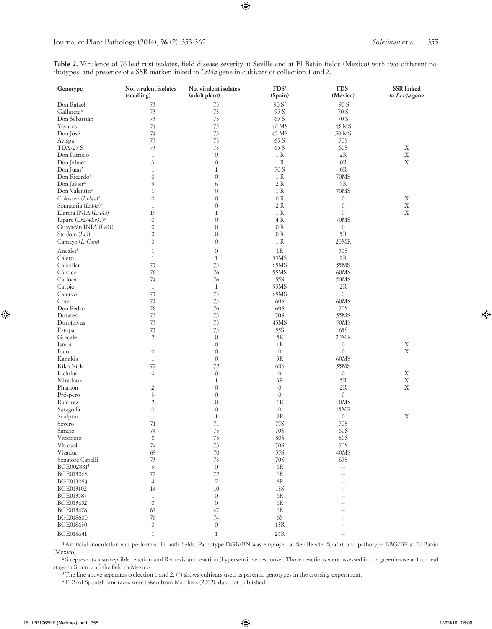# Journal of Plant Pathology (2014), **96** (2), 353-362 *Soleiman* et al. 355

**Table 2.** Virulence of 76 leaf rust isolates, field disease severity at Seville and at El Batán fields (Mexico) with two different pathotypes, and presence of a SSR marker linked to *Lr14a* gene in cultivars of collection 1 and 2.

 $\bigoplus$ 

| Genotype               | No. virulent isolates<br>(seedling) | No. virulent isolates<br>(adult plant) | FDS <sup>1</sup><br>(Spain) | FDS <sup>1</sup><br>(Mexico) | SSR linked<br>to Lr14a gene |
|------------------------|-------------------------------------|----------------------------------------|-----------------------------|------------------------------|-----------------------------|
| Don Rafael             | 73                                  | 73                                     | 90 S <sup>2</sup>           | 90 S                         |                             |
| Gallareta*             | $73$                                | 73                                     | 95 S                        | 70 S                         |                             |
| Don Sebastián          | 73                                  | 73                                     | 65 S                        | 70 S                         |                             |
| Yavaros                | 74                                  | 73                                     | 40 MS                       | 45 MS                        |                             |
| Don José               | 74                                  | 73                                     | 45 MS                       | 50 MS                        |                             |
| Avispa                 | 73                                  | 73                                     | 65 S                        | 70S                          |                             |
| <b>TDA725 S</b>        | 73                                  | 73                                     | 65 S                        | 60S                          | X                           |
| Don Patricio           | $\mathbf{1}$                        | $\boldsymbol{0}$                       | 1R                          | 2R                           | $\mathbf X$                 |
| Don Jaime*             | $\overline{\mathbf{3}}$             | $\boldsymbol{0}$                       | $1\ \mathrm{R}$             | OR                           | $\mathbf X$                 |
| Don Juan*              | $\mathbf{1}$                        | $\mathbf{1}$                           | 70 S                        | 0 <sub>R</sub>               |                             |
| Don Ricardo*           | $\mathbf{0}$                        | $\mathbf{0}$                           | $1\ \mathrm{R}$             | 70MS                         |                             |
| Don Javier*            | 9                                   | 6                                      | $2\ \mathrm{R}$             | 5R                           |                             |
| Don Valentín*          | $\mathbf{1}$                        | $\mathbf{0}$                           | $1\ \mathrm{R}$             | 70MS                         |                             |
| Colosseo $(Lr14a)^{*}$ | $\mathbf{0}$                        | $\mathbf{0}$                           | 0 R                         | $\boldsymbol{0}$             | X                           |
| Somateria (Lr14a)*     | $\mathbf{1}$                        | $\mathbf{0}$                           | 2 R                         | $\mathbf{0}$                 | $\mathbf X$                 |
| Llareta INIA (Lr14a)   | 19                                  | $\mathbf{1}$                           | 1 R                         | $\overline{0}$               | $\mathbf X$                 |
| Jupare $(Lr27+Lr31)^*$ | $\boldsymbol{0}$                    | $\mathbf{0}$                           | $4\ \mathrm{R}$             | 70MS                         |                             |
| Guayacán INIA (Lr61)   | $\mathbf{0}$                        | $\mathbf{0}$                           | 0 R                         | $\boldsymbol{0}$             |                             |
| Storlom $(Lr3)$        | $\boldsymbol{0}$                    | $\mathbf{0}$                           | 0 R                         | 5R                           |                             |
| Camayo (LrCam)         | $\overline{0}$                      | $\theta$                               | 1 R                         | 20MR                         |                             |
| Ancalei <sup>3</sup>   | $\mathbf{1}$                        | $\mathbf{0}$                           | $1\mathrm{R}$               | 70S                          |                             |
| Calero                 | $\mathbf{1}$                        | $\mathbf{1}$                           | 35MS                        | 2R                           |                             |
| Canciller              | 73                                  | 73                                     | 65MS                        | 55MS                         |                             |
| Cántico                | 76                                  | 76                                     | 55MS                        | 60MS                         |                             |
| Carioca                | 74                                  | 76                                     | 55S                         | 50MS                         |                             |
| Carpio                 | $\mathbf{1}$                        | $\mathbf{1}$                           | 55MS                        | 2R                           |                             |
| Catervo                | 73                                  | 73                                     | 65MS                        | $\mathbf{0}$                 |                             |
| Core                   | 73                                  | 73                                     | 60S                         | 60MS                         |                             |
| Don Pedro              | 76                                  | 76                                     | 60S                         | 70S                          |                             |
| Duratec                | 73                                  | 73                                     | 70S                         | 55MS                         |                             |
| Duroflavus             | 73                                  | 73                                     | 45MS                        | 50MS                         |                             |
| Estopa                 | 73                                  | 73                                     | 55S                         | 65S                          |                             |
| Grecale                | $\overline{2}$                      | $\boldsymbol{0}$                       | 5R                          | 20MR                         |                             |
| Ismur                  | $\mathbf{1}$                        | $\mathbf{0}$                           | $1\mathrm{R}$               | $\boldsymbol{0}$             | X                           |
| Italo                  | $\mathbf{0}$                        | $\boldsymbol{0}$                       | $\mathbf{0}$                | $\mathbf{0}$                 | $\mathbf X$                 |
| Kanakis                | $\mathbf{1}$                        | $\boldsymbol{0}$                       | 5R                          | 60MS                         |                             |
| Kiko Nick              | 72                                  | 72                                     | 60S                         | 55MS                         |                             |
| Licinius               | $\boldsymbol{0}$                    | $\theta$                               | $\mathbf{0}$                | $\sigma$                     | X                           |
| Miradoux               | $\mathbf{1}$                        | $\mathbf{1}$                           | 3R                          | 5R                           | $\mathbf X$                 |
| Pharaon                | $\overline{c}$                      | $\mathbf{0}$                           | $\mathbf{0}$                | 2R                           | $\mathbf X$                 |
| Próspero               | $\overline{\mathbf{3}}$             | $\mathbf{0}$                           | $\mathbf{0}$                | $\mathbf{0}$                 |                             |
| Ramírez                | $\overline{c}$                      | $\mathbf{0}$                           | 1R                          | 40MS                         |                             |
| Saragolla              | $\mathbf{0}$                        | $\mathbf{0}$                           | $\mathbf{0}$                | 15MR                         |                             |
| Sculptur               | $\mathbf{1}$                        | 1                                      | 2R                          | $\boldsymbol{0}$             | Χ                           |
| Severo                 | $71\,$                              | 71                                     | 75S                         | 70S                          |                             |
| Simeto                 | 74                                  | 73                                     | 70S                         | 60S                          |                             |
| Vitronero              | $\mathbf{0}$                        | 73                                     | <b>80S</b>                  | <b>80S</b>                   |                             |
| Vitrosol               | 74                                  | 73                                     | 70S                         | 70S                          |                             |
| Vivadur                | 69                                  | 70                                     | 55S                         | 40MS                         |                             |
| Senatore Capelli       | 73                                  | 73                                     | 70S                         | 65S                          |                             |
| BGE0028814             | $\overline{\mathbf{3}}$             | $\boldsymbol{0}$                       | $6R$                        | $\mathbb{Z}^2$               |                             |
| BGE013068              | $72\,$                              | $72\,$                                 | 6R                          |                              |                             |
| BGE013084              | $\overline{4}$                      | 5                                      | 6R                          | ۵.                           |                             |
| BGE013102              | 14                                  | 10                                     | 13S                         | ۵.                           |                             |
| BGE013587              | $\mathbf{1}$                        | $\boldsymbol{0}$                       | $6R$                        |                              |                             |
| BGE013652              | $\boldsymbol{0}$                    | $\mathbf{0}$                           | $6R$                        |                              |                             |
| BGE013678              | 67                                  | 67                                     | 6R                          |                              |                             |
| <b>BGE018600</b>       | 76                                  | 74                                     | <b>6S</b>                   | --                           |                             |
| BGE018630              | $\boldsymbol{0}$                    | $\boldsymbol{0}$                       | $13R$                       | $-$                          |                             |
| BGE018641              | $\mathbf{1}$                        | $1\,$                                  | 25R                         | $\sim$ $\sim$                |                             |

<sup>1</sup> Artificial inoculation was performed in both fields. Pathotype DGB/BN was employed at Seville site (Spain), and pathotype BBG/BP at El Batán (Mexico).

<sup>2</sup>S represents a susceptible reaction and R a resistant reaction (hypersensitive response). Those reactions were assessed in the greenhouse at fifth leaf stage in Spain, and the field in Mexico.

 $^3$ The line above separates collection 1 and 2. (\*) shows cultivars used as parental genotypes in the crossing experiment.

4FDS of Spanish landraces were taken from Martínez (2002), data not published.

 $\bigoplus$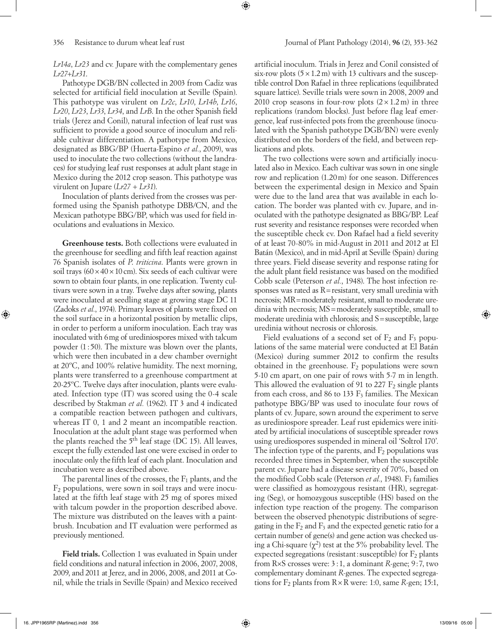*Lr14a*, *Lr23* and cv*.* Jupare with the complementary genes *Lr27+Lr31*.

⊕

Pathotype DGB/BN collected in 2003 from Cadiz was selected for artificial field inoculation at Seville (Spain). This pathotype was virulent on *Lr2c*, *Lr10*, *Lr14b*, *Lr16*, *Lr20*, *Lr23*, *Lr33*, *Lr34*, and *LrB*. In the other Spanish field trials (Jerez and Conil), natural infection of leaf rust was sufficient to provide a good source of inoculum and reliable cultivar differentiation. A pathotype from Mexico, designated as BBG/BP (Huerta-Espino *et al.*, 2009), was used to inoculate the two collections (without the landraces) for studying leaf rust responses at adult plant stage in Mexico during the 2012 crop season. This pathotype was virulent on Jupare (*Lr27* + *Lr31*).

Inoculation of plants derived from the crosses was performed using the Spanish pathotype DBB/CN, and the Mexican pathotype BBG/BP, which was used for field inoculations and evaluations in Mexico.

**Greenhouse tests.** Both collections were evaluated in the greenhouse for seedling and fifth leaf reaction against 76 Spanish isolates of *P*. *triticina*. Plants were grown in soil trays  $(60 \times 40 \times 10 \text{ cm})$ . Six seeds of each cultivar were sown to obtain four plants, in one replication. Twenty cultivars were sown in a tray. Twelve days after sowing, plants were inoculated at seedling stage at growing stage DC 11 (Zadoks *et al.*, 1974). Primary leaves of plants were fixed on the soil surface in a horizontal position by metallic clips, in order to perform a uniform inoculation. Each tray was inoculated with 6mg of urediniospores mixed with talcum powder (1 : 50). The mixture was blown over the plants, which were then incubated in a dew chamber overnight at 20ºC, and 100% relative humidity. The next morning, plants were transferred to a greenhouse compartment at 20-25ºC. Twelve days after inoculation, plants were evaluated. Infection type (IT) was scored using the 0-4 scale described by Stakman *et al.* (1962). IT 3 and 4 indicated a compatible reaction between pathogen and cultivars, whereas IT 0, 1 and 2 meant an incompatible reaction. Inoculation at the adult plant stage was performed when the plants reached the 5<sup>th</sup> leaf stage (DC 15). All leaves, except the fully extended last one were excised in order to inoculate only the fifth leaf of each plant. Inoculation and incubation were as described above.

The parental lines of the crosses, the  $F_1$  plants, and the  $F<sub>2</sub>$  populations, were sown in soil trays and were inoculated at the fifth leaf stage with 25 mg of spores mixed with talcum powder in the proportion described above. The mixture was distributed on the leaves with a paintbrush. Incubation and IT evaluation were performed as previously mentioned.

**Field trials.** Collection 1 was evaluated in Spain under field conditions and natural infection in 2006, 2007, 2008, 2009, and 2011 at Jerez, and in 2006, 2008, and 2011 at Conil, while the trials in Seville (Spain) and Mexico received artificial inoculum. Trials in Jerez and Conil consisted of six-row plots  $(5 \times 1.2 \text{ m})$  with 13 cultivars and the susceptible control Don Rafael in three replications (equilibrated square lattice). Seville trials were sown in 2008, 2009 and 2010 crop seasons in four-row plots  $(2 \times 1.2 \text{ m})$  in three replications (random blocks). Just before flag leaf emergence, leaf rust-infected pots from the greenhouse (inoculated with the Spanish pathotype DGB/BN) were evenly distributed on the borders of the field, and between replications and plots.

The two collections were sown and artificially inoculated also in Mexico. Each cultivar was sown in one single row and replication (1.20m) for one season. Differences between the experimental design in Mexico and Spain were due to the land area that was available in each location. The border was planted with cv. Jupare, and inoculated with the pathotype designated as BBG/BP. Leaf rust severity and resistance responses were recorded when the susceptible check cv. Don Rafael had a field severity of at least 70-80% in mid-August in 2011 and 2012 at El Batán (Mexico), and in mid-April at Seville (Spain) during three years. Field disease severity and response rating for the adult plant field resistance was based on the modified Cobb scale (Peterson *et al.*, 1948). The host infection responses was rated as R=resistant, very small uredinia with necrosis; MR=moderately resistant, small to moderate uredinia with necrosis; MS=moderately susceptible, small to moderate uredinia with chlorosis; and S=susceptible, large uredinia without necrosis or chlorosis.

Field evaluations of a second set of  $F_2$  and  $F_3$  populations of the same material were conducted at El Batán (Mexico) during summer 2012 to confirm the results obtained in the greenhouse.  $F_2$  populations were sown 5-10 cm apart, on one pair of rows with 5-7 m in length. This allowed the evaluation of 91 to 227  $F_2$  single plants from each cross, and 86 to 133  $F_3$  families. The Mexican pathotype BBG/BP was used to inoculate four rows of plants of cv. Jupare, sown around the experiment to serve as urediniospore spreader. Leaf rust epidemics were initiated by artificial inoculations of susceptible spreader rows using urediospores suspended in mineral oil 'Soltrol 170'. The infection type of the parents, and  $F_2$  populations was recorded three times in September, when the susceptible parent cv. Jupare had a disease severity of 70%, based on the modified Cobb scale (Peterson *et al.*, 1948). F<sub>3</sub> families were classified as homozygous resistant (HR), segregating (Seg), or homozygous susceptible (HS) based on the infection type reaction of the progeny. The comparison between the observed phenotypic distributions of segregating in the  $F_2$  and  $F_3$  and the expected genetic ratio for a certain number of gene(s) and gene action was checked using a Chi-square  $(\chi^2)$  test at the 5% probability level. The expected segregations (resistant: susceptible) for  $F_2$  plants from R×S crosses were: 3:1, a dominant *R-*gene; 9:7, two complementary dominant *R*-genes. The expected segregations for  $F_2$  plants from  $R \times R$  were: 1:0, same *R*-gen; 15:1,

◈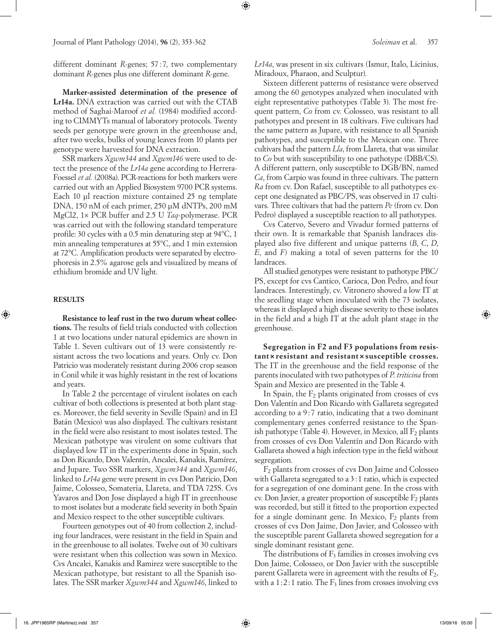Journal of Plant Pathology (2014), **96** (2), 353-362 *Soleiman* et al. 357

different dominant *R*-genes; 57 : 7, two complementary dominant *R*-genes plus one different dominant *R*-gene.

**Marker-assisted determination of the presence of Lr14a.** DNA extraction was carried out with the CTAB method of Saghai-Maroof *et al.* (1984) modified according to CIMMYTs manual of laboratory protocols. Twenty seeds per genotype were grown in the greenhouse and, after two weeks, bulks of young leaves from 10 plants per genotype were harvested for DNA extraction.

SSR markers *Xgwm344* and *Xgwm146* were used to detect the presence of the *Lr14a* gene according to Herrera-Foessel *et al.* (2008a). PCR-reactions for both markers were carried out with an Applied Biosystem 9700 PCR systems. Each 10 μl reaction mixture contained 25 ng template DNA, 150 nM of each primer, 250 μM dNTPs, 200 mM MgCl2, 1× PCR buffer and 2.5 U *Taq*-polymerase. PCR was carried out with the following standard temperature profile: 30 cycles with a 0.5 min denaturing step at 94°C, 1 min annealing temperatures at 55°C, and 1 min extension at 72°C. Amplification products were separated by electrophoresis in 2.5% agarose gels and visualized by means of ethidium bromide and UV light.

### **RESULTS**

⊕

**Resistance to leaf rust in the two durum wheat collections.** The results of field trials conducted with collection 1 at two locations under natural epidemics are shown in Table 1. Seven cultivars out of 13 were consistently resistant across the two locations and years. Only cv. Don Patricio was moderately resistant during 2006 crop season in Conil while it was highly resistant in the rest of locations and years.

In Table 2 the percentage of virulent isolates on each cultivar of both collections is presented at both plant stages. Moreover, the field severity in Seville (Spain) and in El Batán (Mexico) was also displayed. The cultivars resistant in the field were also resistant to most isolates tested. The Mexican pathotype was virulent on some cultivars that displayed low IT in the experiments done in Spain, such as Don Ricardo, Don Valentín, Ancalei, Kanakis, Ramírez, and Jupare. Two SSR markers, *Xgwm344* and *Xgwm146*, linked to *Lr14a* gene were present in cvs Don Patricio, Don Jaime, Colosseo, Somateria, Llareta, and TDA 725S. Cvs Yavaros and Don Jose displayed a high IT in greenhouse to most isolates but a moderate field severity in both Spain and Mexico respect to the other susceptible cultivars.

Fourteen genotypes out of 40 from collection 2, including four landraces, were resistant in the field in Spain and in the greenhouse to all isolates. Twelve out of 30 cultivars were resistant when this collection was sown in Mexico. Cvs Ancalei, Kanakis and Ramirez were susceptible to the Mexican pathotype, but resistant to all the Spanish isolates. The SSR marker *Xgwm344* and *Xgwm146*, linked to *Lr14a*, was present in six cultivars (Ismur, Italo, Licinius, Miradoux, Pharaon, and Sculptur).

⊕

Sixteen different patterns of resistance were observed among the 60 genotypes analyzed when inoculated with eight representative pathotypes (Table 3). The most frequent pattern, *Co* from cv. Colosseo, was resistant to all pathotypes and present in 18 cultivars. Five cultivars had the same pattern as Jupare, with resistance to all Spanish pathotypes, and susceptible to the Mexican one. Three cultivars had the pattern *Lla*, from Llareta, that was similar to *Co* but with susceptibility to one pathotype (DBB/CS). A different pattern, only susceptible to DGB/BN, named *Ca*, from Carpio was found in three cultivars. The pattern *Ra* from cv. Don Rafael, susceptible to all pathotypes except one designated as PBC/PS, was observed in 17 cultivars. Three cultivars that had the pattern *Pe* (from cv. Don Pedro) displayed a susceptible reaction to all pathotypes.

Cvs Catervo, Severo and Vivadur formed patterns of their own. It is remarkable that Spanish landraces displayed also five different and unique patterns (*B*, *C*, *D*, *E*, and *F*) making a total of seven patterns for the 10 landraces.

All studied genotypes were resistant to pathotype PBC/ PS, except for cvs Cantico, Carioca, Don Pedro, and four landraces. Interestingly, cv. Vitronero showed a low IT at the seedling stage when inoculated with the 73 isolates, whereas it displayed a high disease severity to these isolates in the field and a high IT at the adult plant stage in the greenhouse.

**Segregation in F2 and F3 populations from resistant×resistant and resistant×susceptible crosses.**  The IT in the greenhouse and the field response of the parents inoculated with two pathotypes of *P*. *triticina* from Spain and Mexico are presented in the Table 4.

In Spain, the  $F_2$  plants originated from crosses of cvs Don Valentín and Don Ricardo with Gallareta segregated according to a 9:7 ratio, indicating that a two dominant complementary genes conferred resistance to the Spanish pathotype (Table 4). However, in Mexico, all  $F_2$  plants from crosses of cvs Don Valentín and Don Ricardo with Gallareta showed a high infection type in the field without segregation.

F2 plants from crosses of cvs Don Jaime and Colosseo with Gallareta segregated to a 3:1 ratio, which is expected for a segregation of one dominant gene. In the cross with cv. Don Javier, a greater proportion of susceptible  $F_2$  plants was recorded, but still it fitted to the proportion expected for a single dominant gene. In Mexico,  $F_2$  plants from crosses of cvs Don Jaime, Don Javier, and Colosseo with the susceptible parent Gallareta showed segregation for a single dominant resistant gene.

The distributions of  $F_3$  families in crosses involving cvs Don Jaime, Colosseo, or Don Javier with the susceptible parent Gallareta were in agreement with the results of  $F_2$ , with a  $1:2:1$  ratio. The  $F_3$  lines from crosses involving cvs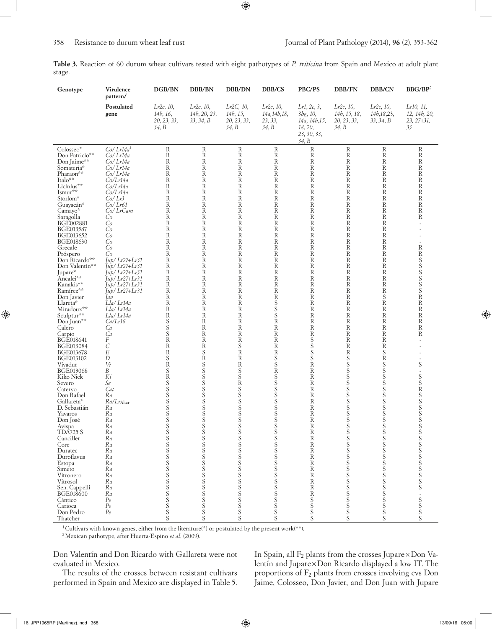|        | Table 3. Reaction of 60 durum wheat cultivars tested with eight pathotypes of P. triticina from Spain and Mexico at adult plant |  |  |  |  |  |  |  |  |
|--------|---------------------------------------------------------------------------------------------------------------------------------|--|--|--|--|--|--|--|--|
| stage. |                                                                                                                                 |  |  |  |  |  |  |  |  |

 $\bigoplus$ 

| Genotype                                                                                                                                                                                                                                                                                                                                                                                                                                                                                                                                                                                                                                                                                                                                                                               | Virulence                                                                                                                                                                                                                                                                                                                                                                                                                                                                                                                                                                                                             | DGB/BN                                                                                                                                                                                                                                                                                                                                        | DBB/BN                                                                                                                                                                                                                                                                                                                                                                                                                                                                                                                                                                                                                                                          | DBB/DN                                                                                                                                                                                                                                                                                                                                                                                                                                                                                                                                                                                                                                                                                                                      | DBB/CS                                                                                                                                                                                                                                                                                                                                                                                                                                                                                                                                                                 | PBC/PS                                                                                                                                                                                                                                                                                                                                                                                                                                                                                                                                                                                                                                                                                   | DBB/FN                                                                                                                                                                                                                                                                                                                                                                                                                                                                                           | <b>DBB/CN</b>                                                                                                                                                                                                                                                                                                      | BBG/BP2                                                                                                                                                                                                                                                                                     |
|----------------------------------------------------------------------------------------------------------------------------------------------------------------------------------------------------------------------------------------------------------------------------------------------------------------------------------------------------------------------------------------------------------------------------------------------------------------------------------------------------------------------------------------------------------------------------------------------------------------------------------------------------------------------------------------------------------------------------------------------------------------------------------------|-----------------------------------------------------------------------------------------------------------------------------------------------------------------------------------------------------------------------------------------------------------------------------------------------------------------------------------------------------------------------------------------------------------------------------------------------------------------------------------------------------------------------------------------------------------------------------------------------------------------------|-----------------------------------------------------------------------------------------------------------------------------------------------------------------------------------------------------------------------------------------------------------------------------------------------------------------------------------------------|-----------------------------------------------------------------------------------------------------------------------------------------------------------------------------------------------------------------------------------------------------------------------------------------------------------------------------------------------------------------------------------------------------------------------------------------------------------------------------------------------------------------------------------------------------------------------------------------------------------------------------------------------------------------|-----------------------------------------------------------------------------------------------------------------------------------------------------------------------------------------------------------------------------------------------------------------------------------------------------------------------------------------------------------------------------------------------------------------------------------------------------------------------------------------------------------------------------------------------------------------------------------------------------------------------------------------------------------------------------------------------------------------------------|------------------------------------------------------------------------------------------------------------------------------------------------------------------------------------------------------------------------------------------------------------------------------------------------------------------------------------------------------------------------------------------------------------------------------------------------------------------------------------------------------------------------------------------------------------------------|------------------------------------------------------------------------------------------------------------------------------------------------------------------------------------------------------------------------------------------------------------------------------------------------------------------------------------------------------------------------------------------------------------------------------------------------------------------------------------------------------------------------------------------------------------------------------------------------------------------------------------------------------------------------------------------|--------------------------------------------------------------------------------------------------------------------------------------------------------------------------------------------------------------------------------------------------------------------------------------------------------------------------------------------------------------------------------------------------------------------------------------------------------------------------------------------------|--------------------------------------------------------------------------------------------------------------------------------------------------------------------------------------------------------------------------------------------------------------------------------------------------------------------|---------------------------------------------------------------------------------------------------------------------------------------------------------------------------------------------------------------------------------------------------------------------------------------------|
|                                                                                                                                                                                                                                                                                                                                                                                                                                                                                                                                                                                                                                                                                                                                                                                        | pattern/<br>Postulated<br>gene                                                                                                                                                                                                                                                                                                                                                                                                                                                                                                                                                                                        | $Lr2c$ , 10,<br>14 <i>b</i> , 16,<br>20, 23, 33,<br>34, B                                                                                                                                                                                                                                                                                     | $Lr2c$ , 10,<br>14b, 20, 23,<br>33, 34, B                                                                                                                                                                                                                                                                                                                                                                                                                                                                                                                                                                                                                       | $Lr2C$ , 10,<br>14 <i>b</i> , 15,<br>20, 23, 33,<br>34, B                                                                                                                                                                                                                                                                                                                                                                                                                                                                                                                                                                                                                                                                   | $Lr2c$ , 10,<br>14 <i>a</i> , 14 <i>b</i> , 18,<br>23, 33,<br>34, B                                                                                                                                                                                                                                                                                                                                                                                                                                                                                                    | Lr1, 2c, 3,<br>3bg, 10,<br>14a, 14b, 15,<br>18, 20,<br>23, 30, 33,<br>34, B                                                                                                                                                                                                                                                                                                                                                                                                                                                                                                                                                                                                              | $Lr2c$ , 10,<br>14b, 15, 18,<br>20, 23, 33,<br>34, B                                                                                                                                                                                                                                                                                                                                                                                                                                             | $Lr2c$ , 10,<br>14b, 18, 23,<br>33, 34, B                                                                                                                                                                                                                                                                          | Lr10, 11,<br>12, 14b, 20,<br>$23, 27 + 31,$<br>33                                                                                                                                                                                                                                           |
| Colosseo*<br>Don Patricio**<br>Don Jaime**<br>Somateria*<br>Pharaon**<br>Italo**<br>Licinius**<br>Ismur**<br>Storlom*<br>Guayacán*<br>Camayo*<br>Saragolla<br>BGE002881<br>BGE013587<br>BGE013652<br>BGE018630<br>Grecale<br>Próspero<br>Don Ricardo**<br>Don Valentín**<br>Jupare*<br>Ancalei**<br>Kanakis**<br>Ramírez**<br>Don Javier<br>Llareta*<br>Miradoux**<br>Sculptur**<br>Don Juan**<br>Calero<br>Carpio<br>BGE018641<br>BGE013084<br>BGE013678<br>BGE013102<br>Vivadur<br>BGE013068<br>Kiko Nick<br>Severo<br>Catervo<br>Don Rafael<br>Gallareta*<br>D. Sebastián<br>Yavaros<br>Don José<br>Avispa<br><b>TDA725 S</b><br>Canciller<br>Core<br>Duratec<br>Duroflavus<br>Estopa<br>Simeto<br>Vitronero<br>Vitrosol<br>Sen. Cappelli<br><b>BGE018600</b><br>Cántico<br>Carioca | Co/Lr14a <sup>1</sup><br>Co/ Lr14a<br>Co/Lr14a<br>Co/Lr14a<br>Co/Lr14a<br>Co/Lr14a<br>Co/Lr14a<br>Co/Lr14a<br>Co/Lr3<br>Co/Lr61<br>Co/LrCam<br>Co<br>Co<br>Co<br>Co<br>Co<br>Co<br>Co<br>$\int u p / Lr27+Lr31$<br>$\int u p / Lr$ 27+ $Lr$ 31<br>$\int u p / Lr$ 27+ $Lr$ 31<br>$I$ up/ $Lr27+Lr31$<br>Jup/ Lr27+Lr31<br>$\int u p / Lr$ 27+ $Lr$ 31<br>Jav<br>Lla/ Lr14a<br>Lla/ Lr14a<br>Lla/ Lr14a<br>Ca/Lr16<br>Ca<br>Ca<br>F<br>С<br>Е<br>D<br>Vi<br>В<br>Ki<br>Se<br>Cat<br>Ra<br>$Ra/Lr_{\text{Altar}}$<br>Ra<br>Ra<br>Ka<br>Ra<br>Ra<br>Ra<br>Ra<br>Ra<br>Ra<br>Ra<br>Ra<br>Ra<br>Ra<br>Ra<br>Ra<br>Pe<br>Pe | R<br>R<br>R<br>R<br>R<br>R<br>R<br>R<br>R<br>R<br>R<br>R<br>R<br>R<br>R<br>R<br>R<br>R<br>R<br>R<br>R<br>R<br>R<br>R<br>R<br>R<br>R<br>$\mathbb R$<br>$S_{\rm S}$<br>$\bar{S}$<br>$\mathbb R$<br>R<br>R<br>S<br>$\bar{\text{R}}$<br>S<br>$\bar{R}$<br>S<br>S<br>S<br>S<br>S<br>S<br>S<br>S<br>S<br>S<br>S<br>S<br>S S S S S S S S S S S S S S | $\mathbf R$<br>$\mathbf R$<br>$\mathbf R$<br>$\mathbf R$<br>$\mathbf R$<br>$\mathbf R$<br>$\mathbb R$<br>$\mathbf R$<br>$\mathbf R$<br>$\mathbf R$<br>$\mathbf R$<br>$\mathbf R$<br>$\mathbf R$<br>$\mathbb R$<br>$\mathbb R$<br>$\mathbf R$<br>$\mathbf R$<br>$\mathbb R$<br>$\mathbf R$<br>$\mathbf R$<br>$\mathbb R$<br>$\mathbf R$<br>$\mathbf R$<br>$\mathbf R$<br>$\mathbf R$<br>R<br>$\mathbf R$<br>$\mathbb R$<br>R<br>$\mathbb R$<br>R<br>$\mathbf R$<br>R<br>$\mathbf S$<br>$\mathbb R$<br>$\overline{s}$<br>S<br>S<br>S<br>S<br>S<br>S<br>S<br>S<br>S<br>S<br>S<br>S<br>S<br>S<br>S<br>S<br>S<br>S<br>S<br>S<br>S<br>S<br>S<br>S<br>S<br>S<br>S<br>S | $\mathbb R$<br>$\mathbf R$<br>$\mathbb{R}$<br>$\mathbb{R}$<br>$\mathbb{R}$<br>$\mathbb{R}$<br>$\mathbb{R}$<br>$\mathbb{R}$<br>$\mathbb{R}$<br>$\mathbb{R}$<br>$\mathbb{R}$<br>$\mathbb{R}$<br>$\mathbb R$<br>$\mathbb{R}$<br>$\mathbb{R}$<br>$\mathbb{R}$<br>$\mathbb{R}$<br>$\mathbb{R}$<br>$\mathbb{R}$<br>$\mathbb R$<br>$\mathbb{R}$<br>$\mathbb{R}$<br>$\mathbb{R}$<br>R<br>$\mathbb{R}$<br>$\mathbb{R}$<br>$\mathbb R$<br>$\mathbb R$<br>$\mathbb R$<br>$\mathbb R$<br>$\mathbf R$<br>$\mathbb R$<br>$\mathbf S$<br>$\rm R$<br>R<br>$\mathbb R$<br>$S_{\rm S}$<br>$\mathbf R$<br>S<br>S<br>$\overline{S}$ S<br>S<br>S<br>S<br>S<br>S<br>S<br>$\frac{S}{S}$<br>S<br>S<br>S<br>S<br>S<br>S<br>$S_S$<br>S<br>S<br>S<br>S | $\mathbf R$<br>$\mathbb R$<br>$\mathbf R$<br>$\mathbb R$<br>$\mathbf R$<br>R<br>$\mathbb R$<br>$\mathbf R$<br>$\mathbb R$<br>R<br>$\mathbf R$<br>R<br>$\mathbb R$<br>$\mathbb R$<br>R<br>R<br>$\mathbb R$<br>R<br>$\mathbb R$<br>$\mathbb R$<br>R<br>$\mathbf R$<br>$\mathbb R$<br>R<br>R<br>$S_{\rm S}$<br>S<br>$\mathbb R$<br>$\mathbb R$<br>$\mathbb R$<br>$\mathbb R$<br>$\mathbf R$<br>$\mathbb R$<br>$S_S$<br>$\mathbb R$<br>S<br>S<br>S<br>S<br>S<br>S<br>S<br>S<br>S<br>S<br>S<br>S<br>S<br>S<br>S<br>S<br>S<br>S<br>S<br>S<br>$\frac{S}{S}$<br>$S_S$<br>$S_S$ | R<br>$\mathbf R$<br>$\mathbb{R}$<br>R<br>$\mathbb{R}$<br>$\mathbb{R}$<br>R<br>$\mathbb{R}$<br>$\mathbb{R}$<br>$\mathbb{R}$<br>$\mathbb{R}$<br>R<br>R<br>$\mathbb{R}$<br>R<br>$\mathbb{R}$<br>$\mathbb{R}$<br>$\mathbb{R}$<br>R<br>R<br>R<br>$\mathbb R$<br>$\mathbb{R}$<br>$\mathbb{R}$<br>$\mathbb{R}$<br>R<br>R<br>$\mathbb R$<br>R<br>$\mathbf R$<br>$\rm R$<br>S<br>S<br>S<br>S<br>$\rm R$<br>$\mathbb R$<br>R<br>$\mathbb{R}$<br>$\mathbb R$<br>$\mathbf R$<br>$\mathbb R$<br>R<br>R<br>K<br>$\mathbb R$<br>$\mathbf R$<br>$\mathbb R$<br>R<br>$\mathbb R$<br>$\mathbb R$<br>$\mathbb R$<br>$\mathbb R$<br>$\mathbb R$<br>$\mathbf R$<br>$\mathbb R$<br>$\rm R$<br>S<br>S<br>S<br>S | $\mathbf R$<br>$\mathbf R$<br>$\mathbb{R}$<br>$\mathbb R$<br>$\mathbf R$<br>R<br>$\mathbb R$<br>$\mathbb{R}$<br>$\mathbb R$<br>R<br>$\mathbb{R}$<br>R<br>R<br>R<br>R<br>$\mathbb R$<br>R<br>R<br>R<br>R<br>R<br>$\mathbb R$<br>$\mathbb R$<br>R<br>$\mathbb R$<br>R<br>R<br>$\mathbb R$<br>R<br>$\mathbb{R}$<br>$\mathbb{R}$<br>$\mathbb{R}$<br>$\mathbf R$<br>R<br>S S S S S S S S S<br>S<br>S<br>S<br>S<br>S<br>S<br>S<br>S<br>S<br>S<br>S<br>S<br>S<br>S<br>$\frac{S}{S}$<br>S<br>S<br>S<br>S | $\mathbf R$<br>R<br>R<br>R<br>R<br>R<br>R<br>R<br>R<br>R<br>R<br>$\mathbb{R}$<br>R<br>R<br>R<br>R<br>R<br>R<br>$\mathbb R$<br>R<br>R<br>R<br>R<br>R<br>S<br>$\mathbb R$<br>R<br>R<br>R<br>R<br>$\mathbb R$<br>R<br>R<br>S<br>R<br>S S S S S S S S S<br>S<br>S<br>S<br>S<br>S<br>S S S S S S S S S S<br>S<br>S<br>S | $\mathbf R$<br>R<br>R<br>R<br>R<br>R<br>R<br>R<br>R<br>R<br>R<br>R<br>÷,<br>٠<br>R<br>R<br>S<br>S<br>S<br>S<br>S<br>S<br>R<br>R<br>R<br>R<br>R<br>R<br>R<br>S<br>S<br>S<br>R<br>S<br>S<br>S<br>S<br>S<br>S<br>S<br>S<br>S<br>$\frac{S}{S}$<br>S<br>S<br>S<br>S<br>S<br>S<br>$S_S$<br>S<br>S |
| Don Pedro<br>Thatcher                                                                                                                                                                                                                                                                                                                                                                                                                                                                                                                                                                                                                                                                                                                                                                  | $Pe$                                                                                                                                                                                                                                                                                                                                                                                                                                                                                                                                                                                                                  |                                                                                                                                                                                                                                                                                                                                               |                                                                                                                                                                                                                                                                                                                                                                                                                                                                                                                                                                                                                                                                 |                                                                                                                                                                                                                                                                                                                                                                                                                                                                                                                                                                                                                                                                                                                             |                                                                                                                                                                                                                                                                                                                                                                                                                                                                                                                                                                        |                                                                                                                                                                                                                                                                                                                                                                                                                                                                                                                                                                                                                                                                                          |                                                                                                                                                                                                                                                                                                                                                                                                                                                                                                  | $\bar{S}$                                                                                                                                                                                                                                                                                                          |                                                                                                                                                                                                                                                                                             |

<sup>1</sup>Cultivars with known genes, either from the literature(\*) or postulated by the present work(\*\*).

2Mexican pathotype, after Huerta-Espino *et al.* (2009).

Don Valentín and Don Ricardo with Gallareta were not evaluated in Mexico.

The results of the crosses between resistant cultivars performed in Spain and Mexico are displayed in Table 5.

In Spain, all  $F_2$  plants from the crosses Jupare $\times$ Don Valentín and Jupare×Don Ricardo displayed a low IT. The proportions of F2 plants from crosses involving cvs Don Jaime, Colosseo, Don Javier, and Don Juan with Jupare

 $\bigoplus$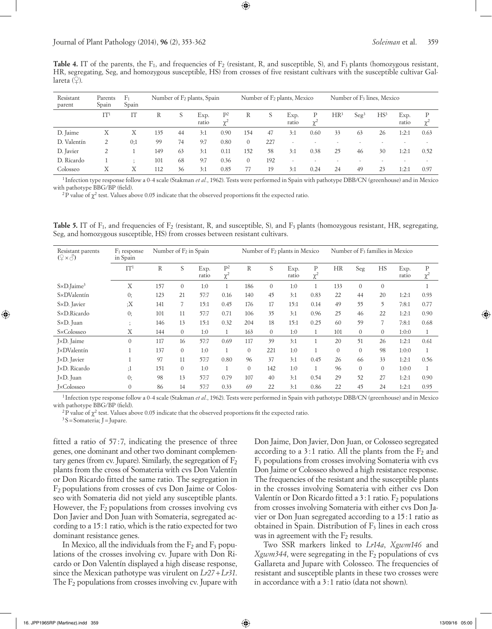**Table 4.** IT of the parents, the F<sub>1</sub>, and frequencies of F<sub>2</sub> (resistant, R, and susceptible, S), and F<sub>3</sub> plants (homozygous resistant, HR, segregating, Seg, and homozygous susceptible, HS) from crosses of five resistant cultivars with the susceptible cultivar Gallareta  $(\varphi)$ .

⊕

| Resistant<br>parent | Parents<br>Spain | F <sub>1</sub><br>Spain |     | Number of F <sub>2</sub> plants, Spain |               |                   |                | Number of F <sub>2</sub> plants, Mexico |                          | Number of F <sub>3</sub> lines, Mexico |                 |                  |                 |               |               |
|---------------------|------------------|-------------------------|-----|----------------------------------------|---------------|-------------------|----------------|-----------------------------------------|--------------------------|----------------------------------------|-----------------|------------------|-----------------|---------------|---------------|
|                     | IT <sup>1</sup>  |                         | R   | S                                      | Exp.<br>ratio | $P^2$<br>$\chi^2$ | R              | S                                       | Exp.<br>ratio            | $\gamma$                               | HR <sup>3</sup> | Seg <sup>3</sup> | НS <sup>3</sup> | Exp.<br>ratio | Ρ<br>$\chi^2$ |
| D. Jaime            | Х                | Х                       | 135 | 44                                     | 3:1           | 0.90              | 154            | 47                                      | 3:1                      | 0.60                                   | 33              | 63               | 26              | 1:2:1         | 0.63          |
| D. Valentín         | 2                | 0:1                     | 99  | 74                                     | 9:7           | 0.80              | $\overline{0}$ | 227                                     | $\overline{\phantom{a}}$ |                                        |                 |                  |                 |               |               |
| D. Javier           | 2                |                         | 149 | 63                                     | 3:1           | 0.11              | 152            | 58                                      | 3:1                      | 0.38                                   | 25              | 46               | 30              | 1:2:1         | 0.52          |
| D. Ricardo          |                  |                         | 101 | 68                                     | 9:7           | 0.36              | $\overline{0}$ | 192                                     | $\overline{\phantom{a}}$ |                                        |                 |                  |                 |               |               |
| Colosseo            | Χ                | Χ                       | 112 | 36                                     | 3:1           | 0.85              | 77             | 19                                      | 3:1                      | 0.24                                   | 24              | 49               | 23              | 1:2:1         | 0.97          |

<sup>1</sup> Infection type response follow a 0-4 scale (Stakman *et al.*, 1962). Tests were performed in Spain with pathotype DBB/CN (greenhouse) and in Mexico with pathotype BBG/BP (field).

<sup>2</sup>P value of  $\chi^2$  test. Values above 0.05 indicate that the observed proportions fit the expected ratio.

**Table 5.** IT of F<sub>1</sub>, and frequencies of F<sub>2</sub> (resistant, R, and susceptible, S), and F<sub>3</sub> plants (homozygous resistant, HR, segregating, Seg, and homozygous susceptible, HS) from crosses between resistant cultivars.

| Resistant parents<br>$(\varphi \times \mathcal{S})$ | $F_1$ response<br>in Spain |              | Number of F <sub>2</sub> in Spain |               |                            |              |              | Number of F <sub>2</sub> plants in Mexico |                         | Number of F <sub>3</sub> families in Mexico |                |                  |               |                         |
|-----------------------------------------------------|----------------------------|--------------|-----------------------------------|---------------|----------------------------|--------------|--------------|-------------------------------------------|-------------------------|---------------------------------------------|----------------|------------------|---------------|-------------------------|
|                                                     | IT <sup>1</sup>            | $\mathbb{R}$ | S                                 | Exp.<br>ratio | P <sup>2</sup><br>$\chi^2$ | $\mathbb{R}$ | S            | Exp.<br>ratio                             | $\mathbf P$<br>$\chi^2$ | <b>HR</b>                                   | Seg            | <b>HS</b>        | Exp.<br>ratio | $\mathbf P$<br>$\chi^2$ |
| $S \times D$ . Jaime <sup>3</sup>                   | X                          | 157          | $\mathbf{0}$                      | 1:0           |                            | 186          | $\theta$     | 1:0                                       | $\mathbf{1}$            | 133                                         | $\theta$       | $\overline{0}$   |               |                         |
| S×DValentín                                         | 0;                         | 123          | 21                                | 57:7          | 0.16                       | 140          | 45           | 3:1                                       | 0.83                    | 22                                          | 44             | 20               | 1:2:1         | 0.93                    |
| S×D. Javier                                         | :X                         | 141          | $\overline{7}$                    | 15:1          | 0.45                       | 176          | 17           | 15:1                                      | 0.14                    | 49                                          | 55             | 5                | 7:8:1         | 0.77                    |
| S×D.Ricardo                                         | 0;                         | 101          | 11                                | 57:7          | 0.71                       | 106          | 35           | 3:1                                       | 0.96                    | 25                                          | 46             | 22               | 1:2:1         | 0.90                    |
| S×D. Juan                                           | $\cdot$                    | 146          | 13                                | 15:1          | 0.32                       | 204          | 18           | 15:1                                      | 0.25                    | 60                                          | 59             | $\overline{7}$   | 7:8:1         | 0.68                    |
| S×Colosseo                                          | Χ                          | 144          | $\overline{0}$                    | 1:0           | $\mathbf{1}$               | 163          | $\mathbf{0}$ | 1:0                                       | $\mathbf{1}$            | 101                                         | $\overline{0}$ | $\boldsymbol{0}$ | 1:0:0         | 1                       |
| J×D. Jaime                                          | $\Omega$                   | 117          | 16                                | 57:7          | 0.69                       | 117          | 39           | 3:1                                       | $\mathbf{1}$            | 20                                          | 51             | 26               | 1:2:1         | 0.61                    |
| <b>I</b> ×DValentín                                 |                            | 137          | $\overline{0}$                    | 1:0           | $\mathbf{1}$               | $\mathbf{0}$ | 221          | 1:0                                       | $\mathbf{1}$            | $\mathbf{0}$                                | $\theta$       | 98               | 1:0:0         | 1                       |
| J×D. Javier                                         |                            | 97           | 11                                | 57:7          | 0.80                       | 96           | 37           | 3:1                                       | 0.45                    | 26                                          | 66             | 33               | 1:2:1         | 0.56                    |
| J×D. Ricardo                                        | ;1                         | 151          | $\theta$                          | 1:0           |                            | $\mathbf{0}$ | 142          | 1:0                                       | $\mathbf{1}$            | 96                                          | $\overline{0}$ | $\overline{0}$   | 1:0:0         |                         |
| J×D. Juan                                           | 0;                         | 98           | 13                                | 57:7          | 0.79                       | 107          | 40           | 3:1                                       | 0.54                    | 29                                          | 52             | 27               | 1:2:1         | 0.90                    |
| <b>I</b> ×Colosseo                                  | $\theta$                   | 86           | 14                                | 57:7          | 0.33                       | 69           | 22           | 3:1                                       | 0.86                    | 22                                          | 45             | 24               | 1:2:1         | 0.95                    |

<sup>1</sup> Infection type response follow a 0-4 scale (Stakman *et al.*, 1962). Tests were performed in Spain with pathotype DBB/CN (greenhouse) and in Mexico with pathotype BBG/BP (field).

<sup>2</sup>P value of  $\chi^2$  test. Values above 0.05 indicate that the observed proportions fit the expected ratio.

 $3S =$ Somateria; J = Jupare.

⊕

fitted a ratio of 57:7, indicating the presence of three genes, one dominant and other two dominant complementary genes (from cv. Jupare). Similarly, the segregation of  $F_2$ plants from the cross of Somateria with cvs Don Valentín or Don Ricardo fitted the same ratio. The segregation in F2 populations from crosses of cvs Don Jaime or Colosseo with Somateria did not yield any susceptible plants. However, the  $F_2$  populations from crosses involving cvs Don Javier and Don Juan with Somateria, segregated according to a 15:1 ratio, which is the ratio expected for two dominant resistance genes.

In Mexico, all the individuals from the  $F_2$  and  $F_3$  populations of the crosses involving cv. Jupare with Don Ricardo or Don Valentín displayed a high disease response, since the Mexican pathotype was virulent on *Lr27*+*Lr31*. The  $F_2$  populations from crosses involving cv. Jupare with Don Jaime, Don Javier, Don Juan, or Colosseo segregated according to a 3:1 ratio. All the plants from the  $F_2$  and F3 populations from crosses involving Somateria with cvs Don Jaime or Colosseo showed a high resistance response. The frequencies of the resistant and the susceptible plants in the crosses involving Somateria with either cvs Don Valentín or Don Ricardo fitted a  $3:1$  ratio.  $F_2$  populations from crosses involving Somateria with either cvs Don Javier or Don Juan segregated according to a 15:1 ratio as obtained in Spain. Distribution of  $F_3$  lines in each cross was in agreement with the  $F_2$  results.

Two SSR markers linked to *Lr14a*, *Xgwm146* and  $Xgwm344$ , were segregating in the  $F<sub>2</sub>$  populations of cvs Gallareta and Jupare with Colosseo. The frequencies of resistant and susceptible plants in these two crosses were in accordance with a 3:1 ratio (data not shown).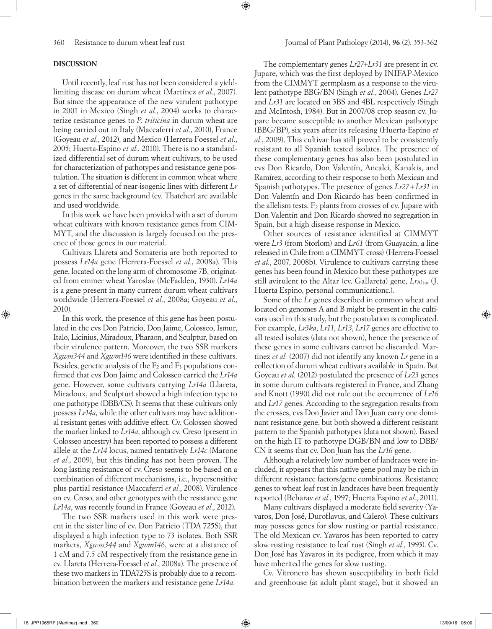## **DISCUSSION**

Until recently, leaf rust has not been considered a yieldlimiting disease on durum wheat (Martínez *et al.*, 2007). But since the appearance of the new virulent pathotype in 2001 in Mexico (Singh *et al.*, 2004) works to characterize resistance genes to *P. triticina* in durum wheat are being carried out in Italy (Maccaferri *et al.*, 2010), France (Goyeau *et al.*, 2012), and Mexico (Herrera-Foessel *et al.*, 2005; Huerta-Espino *et al.*, 2010). There is no a standardized differential set of durum wheat cultivars, to be used for characterization of pathotypes and resistance gene postulation. The situation is different in common wheat where a set of differential of near-isogenic lines with different *Lr* genes in the same background (cv. Thatcher) are available and used worldwide.

In this work we have been provided with a set of durum wheat cultivars with known resistance genes from CIM-MYT, and the discussion is largely focused on the presence of those genes in our material.

Cultivars Llareta and Somateria are both reported to possess *Lr14a* gene (Herrera-Foessel *et al.*, 2008a). This gene, located on the long arm of chromosome 7B, originated from emmer wheat Yaroslav (McFadden, 1930). *Lr14a* is a gene present in many current durum wheat cultivars worldwide (Herrera-Foessel *et al.*, 2008a; Goyeau *et al*., 2010).

In this work, the presence of this gene has been postulated in the cvs Don Patricio, Don Jaime, Colosseo, Ismur, Italo, Licinius, Miradoux, Pharaon, and Sculptur, based on their virulence pattern. Moreover, the two SSR markers *Xgwm344* and *Xgwm146* were identified in these cultivars. Besides, genetic analysis of the  $F_2$  and  $F_3$  populations confirmed that cvs Don Jaime and Colosseo carried the *Lr14a* gene. However, some cultivars carrying *Lr14a* (Llareta, Miradoux, and Sculptur) showed a high infection type to one pathotype (DBB/CS). It seems that these cultivars only possess *Lr14a*, while the other cultivars may have additional resistant genes with additive effect. Cv. Colosseo showed the marker linked to *Lr14a*, although cv. Creso (present in Colosseo ancestry) has been reported to possess a different allele at the *Lr14* locus, named tentatively *Lr14c* (Marone *et al.*, 2009), but this finding has not been proven. The long lasting resistance of cv. Creso seems to be based on a combination of different mechanisms, i.e., hypersensitive plus partial resistance (Maccaferri *et al.*, 2008). Virulence on cv. Creso, and other genotypes with the resistance gene *Lr14a*, was recently found in France (Goyeau *et al.*, 2012).

The two SSR markers used in this work were present in the sister line of cv. Don Patricio (TDA 725S), that displayed a high infection type to 73 isolates. Both SSR markers, *Xgwm344* and *Xgwm146*, were at a distance of 1 cM and 7.5 cM respectively from the resistance gene in cv. Llareta (Herrera-Foessel *et al.*, 2008a). The presence of these two markers in TDA725S is probably due to a recombination between the markers and resistance gene *Lr14a*.

⊕

The complementary genes *Lr27*+*Lr31* are present in cv. Jupare, which was the first deployed by INIFAP-Mexico from the CIMMYT germplasm as a response to the virulent pathotype BBG/BN (Singh *et al.*, 2004). Genes *Lr27* and *Lr31* are located on 3BS and 4BL respectively (Singh and McIntosh, 1984). But in 2007/08 crop season cv. Jupare became susceptible to another Mexican pathotype (BBG/BP), six years after its releasing (Huerta-Espino *et al.*, 2009). This cultivar has still proved to be consistently resistant to all Spanish tested isolates. The presence of these complementary genes has also been postulated in cvs Don Ricardo, Don Valentín, Ancalei, Kanakis, and Ramírez, according to their response to both Mexican and Spanish pathotypes. The presence of genes *Lr27*+*Lr31* in Don Valentín and Don Ricardo has been confirmed in the allelism tests.  $F_2$  plants from crosses of cv. Jupare with Don Valentín and Don Ricardo showed no segregation in Spain, but a high disease response in Mexico.

Other sources of resistance identified at CIMMYT were *Lr3* (from Storlom) and *Lr61* (from Guayacán, a line released in Chile from a CIMMYT cross) (Herrera-Foessel *et al.*, 2007, 2008b). Virulence to cultivars carrying these genes has been found in Mexico but these pathotypes are still avirulent to the Altar (cv. Gallareta) gene, *Lr*Altar (J. Huerta Espino, personal communicationc.).

Some of the *Lr* genes described in common wheat and located on genomes A and B might be present in the cultivars used in this study, but the postulation is complicated. For example, *Lr3ka*, *Lr11*, *Lr13*, *Lr17* genes are effective to all tested isolates (data not shown), hence the presence of these genes in some cultivars cannot be discarded. Martinez *et al.* (2007) did not identify any known *Lr* gene in a collection of durum wheat cultivars available in Spain. But Goyeau *et al.* (2012) postulated the presence of *Lr23* genes in some durum cultivars registered in France, and Zhang and Knott (1990) did not rule out the occurrence of *Lr16* and *Lr17* genes. According to the segregation results from the crosses, cvs Don Javier and Don Juan carry one dominant resistance gene, but both showed a different resistant pattern to the Spanish pathotypes (data not shown). Based on the high IT to pathotype DGB/BN and low to DBB/ CN it seems that cv. Don Juan has the *Lr16* gene.

Although a relatively low number of landraces were included, it appears that this native gene pool may be rich in different resistance factors/gene combinations. Resistance genes to wheat leaf rust in landraces have been frequently reported (Beharav *et al.*, 1997; Huerta Espino *et al.*, 2011).

Many cultivars displayed a moderate field severity (Yavaros, Don José, Duroflavus, and Calero). These cultivars may possess genes for slow rusting or partial resistance. The old Mexican cv. Yavaros has been reported to carry slow rusting resistance to leaf rust (Singh *et al.*, 1993). Cv. Don José has Yavaros in its pedigree, from which it may have inherited the genes for slow rusting.

Cv. Vitronero has shown susceptibility in both field and greenhouse (at adult plant stage), but it showed an

◈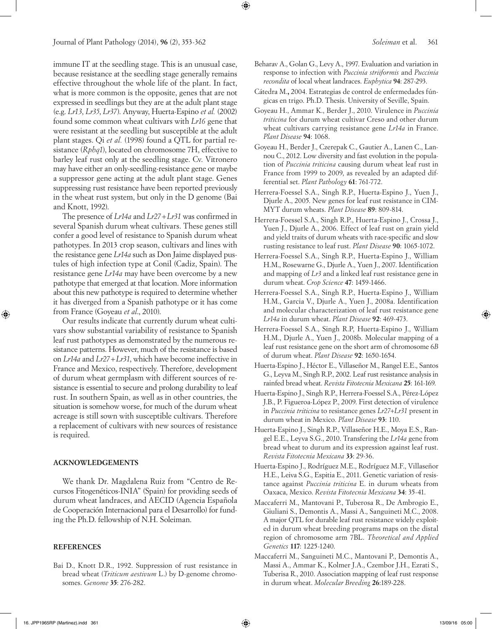Journal of Plant Pathology (2014), **96** (2), 353-362 *Soleiman* et al. 361

immune IT at the seedling stage. This is an unusual case, because resistance at the seedling stage generally remains effective throughout the whole life of the plant. In fact, what is more common is the opposite, genes that are not expressed in seedlings but they are at the adult plant stage (e.g. *Lr13*, *Lr35*, *Lr37*). Anyway, Huerta-Espino *et al.* (2002) found some common wheat cultivars with *Lr16* gene that were resistant at the seedling but susceptible at the adult plant stages. Qi *et al.* (1998) found a QTL for partial resistance (*Rphq1*), located on chromosome 7H, effective to barley leaf rust only at the seedling stage. Cv. Vitronero may have either an only-seedling-resistance gene or maybe a suppressor gene acting at the adult plant stage. Genes suppressing rust resistance have been reported previously in the wheat rust system, but only in the D genome (Bai and Knott, 1992).

The presence of *Lr14a* and *Lr27*+*Lr31* was confirmed in several Spanish durum wheat cultivars. These genes still confer a good level of resistance to Spanish durum wheat pathotypes. In 2013 crop season, cultivars and lines with the resistance gene *Lr14a* such as Don Jaime displayed pustules of high infection type at Conil (Cadiz, Spain). The resistance gene *Lr14a* may have been overcome by a new pathotype that emerged at that location. More information about this new pathotype is required to determine whether it has diverged from a Spanish pathotype or it has come from France (Goyeau *et al*., 2010).

Our results indicate that currently durum wheat cultivars show substantial variability of resistance to Spanish leaf rust pathotypes as demonstrated by the numerous resistance patterns. However, much of the resistance is based on *Lr14a* and *Lr27*+*Lr31*, which have become ineffective in France and Mexico, respectively. Therefore, development of durum wheat germplasm with different sources of resistance is essential to secure and prolong durability to leaf rust. In southern Spain, as well as in other countries, the situation is somehow worse, for much of the durum wheat acreage is still sown with susceptible cultivars. Therefore a replacement of cultivars with new sources of resistance is required.

### **ACKNOWLEDGEMENTS**

We thank Dr. Magdalena Ruiz from "Centro de Recursos Fitogenéticos-INIA" (Spain) for providing seeds of durum wheat landraces, and AECID (Agencia Española de Cooperación Internacional para el Desarrollo) for funding the Ph.D. fellowship of N.H. Soleiman.

### **REFERENCES**

Bai D., Knott D.R., 1992. Suppression of rust resistance in bread wheat (*Triticum aestivum* L.) by D-genome chromosomes. *Genome* **35**: 276-282.

Beharav A., Golan G., Levy A., 1997. Evaluation and variation in response to infection with *Puccinia striiformis* and *Puccinia recondita* of local wheat landraces. *Euphytica* **94**: 287-293.

⊕

- Cátedra M.**,** 2004. Estrategias de control de enfermedades fúngicas en trigo. Ph.D. Thesis. University of Seville, Spain.
- Goyeau H., Ammar K., Berder J., 2010. Virulence in *Puccinia triticina* for durum wheat cultivar Creso and other durum wheat cultivars carrying resistance gene *Lr14a* in France. *Plant Disease* **94**: 1068.
- Goyeau H., Berder J., Czerepak C., Gautier A., Lanen C., Lannou C., 2012. Low diversity and fast evolution in the population of *Puccinia triticina* causing durum wheat leaf rust in France from 1999 to 2009, as revealed by an adapted differential set. *Plant Pathology* **61**: 761-772.
- Herrera-Foessel S.A., Singh R.P., Huerta-Espino J., Yuen J., Djurle A., 2005. New genes for leaf rust resistance in CIM-MYT durum wheats. *Plant Disease* **89**: 809-814.
- Herrera-Foessel S.A., Singh R.P., Huerta-Espino J., Crossa J., Yuen J., Djurle A., 2006. Effect of leaf rust on grain yield and yield traits of durum wheats with race-specific and slow rusting resistance to leaf rust. *Plant Disease* **90**: 1065-1072.
- Herrera-Foessel S.A., Singh R.P., Huerta-Espino J., William H.M., Rosewarne G., Djurle A., Yuen J., 2007. Identification and mapping of *Lr3* and a linked leaf rust resistance gene in durum wheat. *Crop Science* **47**: 1459-1466.
- Herrera-Foessel S.A., Singh R.P., Huerta-Espino J., William H.M., Garcia V., Djurle A., Yuen J., 2008a. Identification and molecular characterization of leaf rust resistance gene *Lr14a* in durum wheat. *Plant Disease* **92**: 469-473.
- Herrera-Foessel S.A., Singh R.P, Huerta-Espino J., William H.M., Djurle A., Yuen J., 2008b. Molecular mapping of a leaf rust resistance gene on the short arm of chromosome 6*B* of durum wheat. *Plant Disease* **92**: 1650-1654.
- Huerta-Espino J., Héctor E., Villaseñor M., Rangel E.E., Santos G., Leyva M., Singh R.P., 2002. Leaf rust resistance analysis in rainfed bread wheat. *Revista Fitotecnia Mexicana* **25**: 161-169.
- Huerta-Espino J., Singh R.P., Herrera-Foessel S.A., Pérez-López J.B., P. Figueroa-López P., 2009. First detection of virulence in *Puccinia triticina* to resistance genes *Lr27+Lr31* present in durum wheat in Mexico. *Plant Disease* **93**: 110.
- Huerta-Espino J., Singh R.P., Villaseñor H.E., Moya E.S., Rangel E.E., Leyva S.G., 2010. Transfering the *Lr14a* gene from bread wheat to durum and its expression against leaf rust. *Revista Fitotecnia Mexicana* **33**: 29-36.
- Huerta-Espino J., Rodríguez M.E., Rodríguez M.F., Villaseñor H.E., Leiva S.G., Espitia E., 2011. Genetic variation of resistance against *Puccinia triticina* E. in durum wheats from Oaxaca, Mexico. *Revista Fitotecnia Mexicana* **34**: 35-41.
- Maccaferri M., Mantovani P., Tuberosa R., De Ambrogio E., Giuliani S., Demontis A., Massi A., Sanguineti M.C., 2008. A major QTL for durable leaf rust resistance widely exploited in durum wheat breeding programs maps on the distal region of chromosome arm 7BL. *Theoretical and Applied Genetics* **117**: 1225-1240.
- Maccaferri M., Sanguineti M.C., Mantovani P., Demontis A., Massi A., Ammar K., Kolmer J.A., Czembor J.H., Ezrati S., Tuberisa R., 2010. Association mapping of leaf rust response in durum wheat. *Molecular Breeding* **26**:189-228.